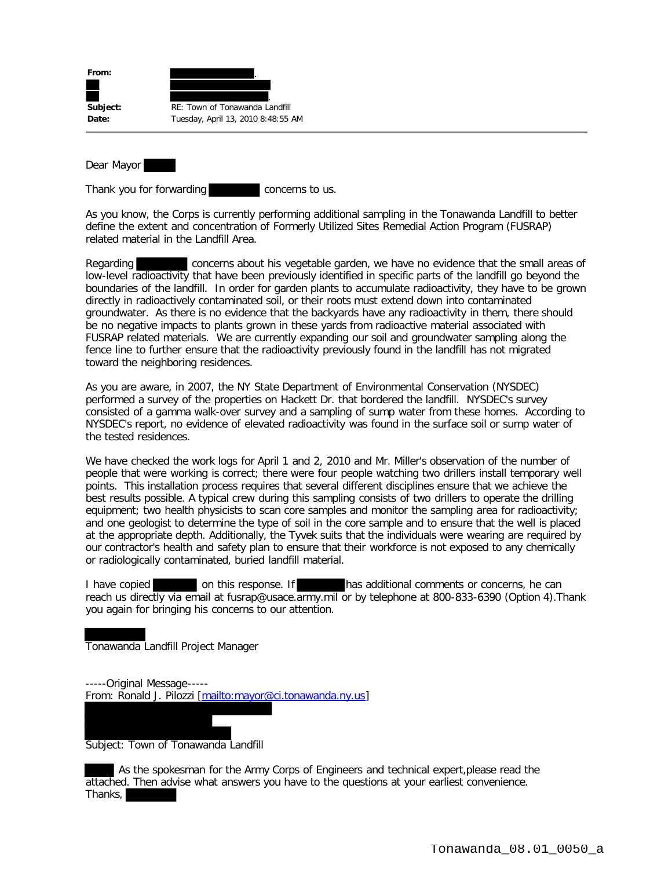| From:    |                                    |
|----------|------------------------------------|
| Subject: | RE: Town of Tonawanda Landfill     |
| Date:    | Tuesday, April 13, 2010 8:48:55 AM |

Dear Mayor

Thank you for forwarding **concerns** to us.

As you know, the Corps is currently performing additional sampling in the Tonawanda Landfill to better define the extent and concentration of Formerly Utilized Sites Remedial Action Program (FUSRAP) related material in the Landfill Area.

Regarding concerns about his vegetable garden, we have no evidence that the small areas of low-level radioactivity that have been previously identified in specific parts of the landfill go beyond the boundaries of the landfill. In order for garden plants to accumulate radioactivity, they have to be grown directly in radioactively contaminated soil, or their roots must extend down into contaminated groundwater. As there is no evidence that the backyards have any radioactivity in them, there should be no negative impacts to plants grown in these yards from radioactive material associated with FUSRAP related materials. We are currently expanding our soil and groundwater sampling along the fence line to further ensure that the radioactivity previously found in the landfill has not migrated toward the neighboring residences.

As you are aware, in 2007, the NY State Department of Environmental Conservation (NYSDEC) performed a survey of the properties on Hackett Dr. that bordered the landfill. NYSDEC's survey consisted of a gamma walk-over survey and a sampling of sump water from these homes. According to NYSDEC's report, no evidence of elevated radioactivity was found in the surface soil or sump water of the tested residences.

We have checked the work logs for April 1 and 2, 2010 and Mr. Miller's observation of the number of people that were working is correct; there were four people watching two drillers install temporary well points. This installation process requires that several different disciplines ensure that we achieve the best results possible. A typical crew during this sampling consists of two drillers to operate the drilling equipment; two health physicists to scan core samples and monitor the sampling area for radioactivity; and one geologist to determine the type of soil in the core sample and to ensure that the well is placed at the appropriate depth. Additionally, the Tyvek suits that the individuals were wearing are required by our contractor's health and safety plan to ensure that their workforce is not exposed to any chemically or radiologically contaminated, buried landfill material.

I have copied on this response. If has additional comments or concerns, he can reach us directly via email at fusrap@usace.army.mil or by telephone at 800-833-6390 (Option 4). Thank you again for bringing his concerns to our attention.

Tonawanda Landfill Project Manager

-----Original Message----- From: Ronald J. Pilozzi [mailto:mayor@ci.tonawanda.ny.us]

Subject: Town of Tonawanda Landfill

 As the spokesman for the Army Corps of Engineers and technical expert,please read the attached. Then advise what answers you have to the questions at your earliest convenience. Thanks,